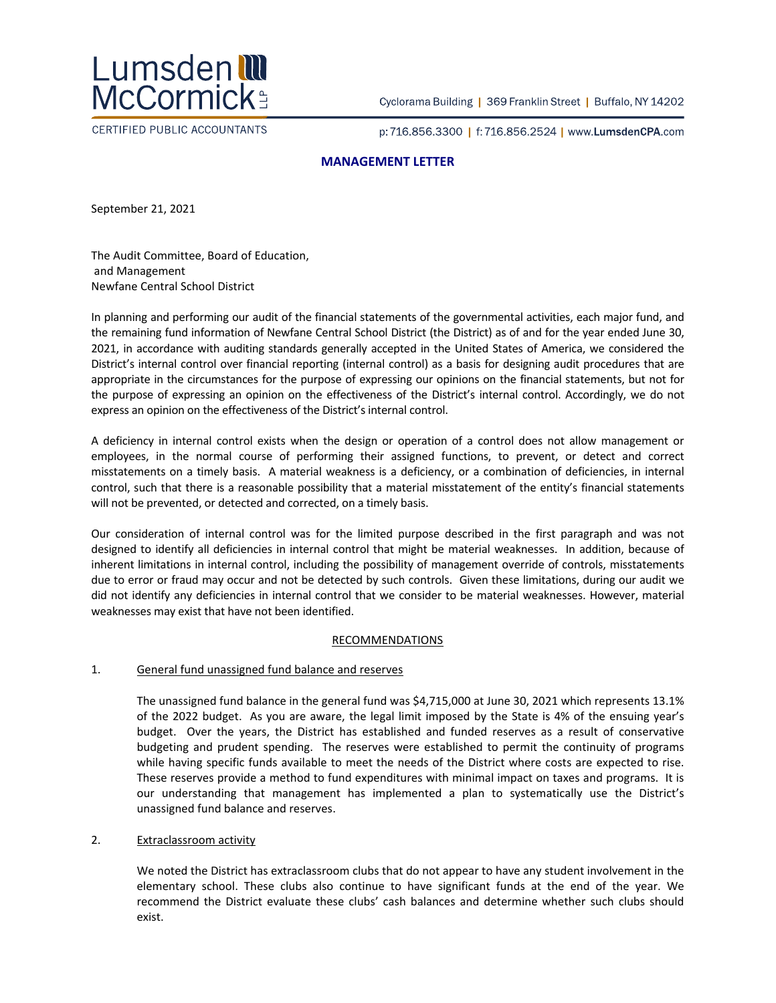

CERTIFIED PUBLIC ACCOUNTANTS

Cyclorama Building | 369 Franklin Street | Buffalo, NY 14202

p:716.856.3300 | f:716.856.2524 | www.LumsdenCPA.com

# **MANAGEMENT LETTER**

September 21, 2021

The Audit Committee, Board of Education, and Management Newfane Central School District

In planning and performing our audit of the financial statements of the governmental activities, each major fund, and the remaining fund information of Newfane Central School District (the District) as of and for the year ended June 30, 2021, in accordance with auditing standards generally accepted in the United States of America, we considered the District's internal control over financial reporting (internal control) as a basis for designing audit procedures that are appropriate in the circumstances for the purpose of expressing our opinions on the financial statements, but not for the purpose of expressing an opinion on the effectiveness of the District's internal control. Accordingly, we do not express an opinion on the effectiveness of the District's internal control.

A deficiency in internal control exists when the design or operation of a control does not allow management or employees, in the normal course of performing their assigned functions, to prevent, or detect and correct misstatements on a timely basis. A material weakness is a deficiency, or a combination of deficiencies, in internal control, such that there is a reasonable possibility that a material misstatement of the entity's financial statements will not be prevented, or detected and corrected, on a timely basis.

Our consideration of internal control was for the limited purpose described in the first paragraph and was not designed to identify all deficiencies in internal control that might be material weaknesses. In addition, because of inherent limitations in internal control, including the possibility of management override of controls, misstatements due to error or fraud may occur and not be detected by such controls. Given these limitations, during our audit we did not identify any deficiencies in internal control that we consider to be material weaknesses. However, material weaknesses may exist that have not been identified.

## RECOMMENDATIONS

## 1. General fund unassigned fund balance and reserves

The unassigned fund balance in the general fund was \$4,715,000 at June 30, 2021 which represents 13.1% of the 2022 budget. As you are aware, the legal limit imposed by the State is 4% of the ensuing year's budget. Over the years, the District has established and funded reserves as a result of conservative budgeting and prudent spending. The reserves were established to permit the continuity of programs while having specific funds available to meet the needs of the District where costs are expected to rise. These reserves provide a method to fund expenditures with minimal impact on taxes and programs. It is our understanding that management has implemented a plan to systematically use the District's unassigned fund balance and reserves.

## 2. Extraclassroom activity

We noted the District has extraclassroom clubs that do not appear to have any student involvement in the elementary school. These clubs also continue to have significant funds at the end of the year. We recommend the District evaluate these clubs' cash balances and determine whether such clubs should exist.